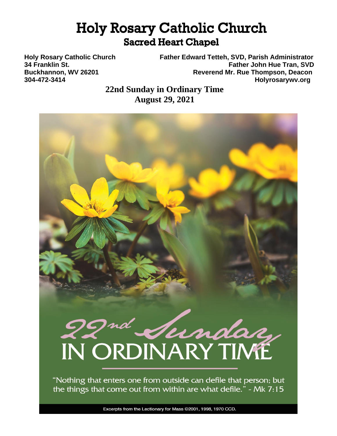# **Holy Rosary Catholic Church Sacred Heart Chapel**

**Holy Rosary Catholic Church Father Edward Tetteh, SVD, Parish Administrator 34 Franklin St. Father John Hue Tran, SVD Buckhannon, WV 26201 Reverend Mr. Rue Thompson, Deacon 304-472-3414 Holyrosarywv.org**

> **22nd Sunday in Ordinary Time August 29, 2021**

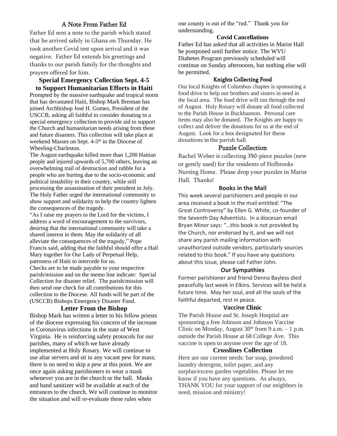## A Note From Father Ed

Father Ed sent a note to the parish which stated that he arrived safely in Ghana on Thursday. He took another Covid test upon arrival and it was negative. Father Ed extends his greetings and thanks to our parish family for the thoughts and prayers offered for him.

#### **Special Emergency Collection Sept. 4-5 to Support Humanitarian Efforts in Haiti**

Prompted by the massive earthquake and tropical storm that has devastated Haiti, Bishop Mark Brennan has joined Archbishop José H. Gomez, President of the USCCB, asking all faithful to consider donating to a special emergency collection to provide aid to support the Church and humanitarian needs arising from these and future disasters. This collection will take place at weekend Masses on Sept. 4-5<sup>th</sup> in the Diocese of Wheeling-Charleston.

The August earthquake killed more than 1,200 Haitian people and injured upwards of 5,700 others, leaving an overwhelming trail of destruction and rubble for a people who are hurting due to the socio-economic and political instability in their country, while still processing the assassination of their president in July. The Holy Father urged the international community to show support and solidarity to help the country lighten the consequences of the tragedy.

"As I raise my prayers to the Lord for the victims, I address a word of encouragement to the survivors, desiring that the international community will take a shared interest in them. May the solidarity of all alleviate the consequences of the tragedy," Pope Francis said, adding that the faithful should offer a Hail Mary together for Our Lady of Perpetual Help, patroness of Haiti to intercede for us.

Checks are to be made payable to your respective parish/mission and on the memo line indicate: Special Collection for disaster relief. The parish/mission will then send one check for all contributions for this collection to the Diocese. All funds will be part of the (USCCB) Bishops Emergency Disaster Fund.

#### **Letter From the Bishop**

Bishop Mark has written a letter to his fellow priests of the diocese expressing his concern of the increase in Coronavirus infections in the state of West Virginia. He is reinforcing safety protocols for our parishes, many of which we have already implemented at Holy Rosary. We will continue to use altar servers and sit in any vacant pew for mass; there is no need to skip a pew at this point. We are once again asking parishioners to wear a mask whenever you are in the church or the hall. Masks and hand sanitizer will be available at each of the entrances to the church. We will continue to monitor the situation and will re-evaluate these rules when

our county is out of the "red." Thank you for understanding.

#### **Covid Cancellations**

Father Ed has asked that all activities in Marist Hall be postponed until further notice. The WVU Diabetes Program previously scheduled will continue on Sunday afternoons, but nothing else will be permitted.

#### Knights Collecting Food

Our local Knights of Columbus chapter is sponsoring a food drive to help our brothers and sisters in need in the local area. The food drive will run through the end of August. Holy Rosary will donate all food collected to the Parish House in Buckhannon. Personal care items may also be donated. The Knights are happy to collect and deliver the donations for us at the end of August. Look for a box designated for these donations in the parish hall.

#### Puzzle Collection

Rachel Weber is collecting 350-piece puzzles (new or gently used) for the residents of Holbrooks Nursing Home. Please drop your puzzles in Marist Hall. Thanks!

#### **Books in the Mail**

This week several parishioners and people in our area received a book in the mail entitled: "The Great Controversy" by Ellen G. White, co-founder of the Seventh Day Adventists. In a diocesan email Bryan Minor says: "…this book is not provided by the Church, nor endorsed by it, and we will not share any parish mailing information with unauthorized outside vendors, particularly sources related to this book." If you have any questions about this issue, please call Father John.

#### **Our Sympathies**

Former parishioner and friend Denna Bayless died peacefully last week in Elkins. Services will be held a future time. May her soul, and all the souls of the faithful departed, rest in peace.

#### **Vaccine Clinic**

The Parish House and St. Joseph Hospital are sponsoring a free Johnson and Johnson Vaccine Clinic on Monday, August  $30<sup>th</sup>$  from 9 a.m.  $-1$  p.m. outside the Parish House at 68 College Ave. This vaccine is open to anyone over the age of 18.

#### **Crosslines Collection**

Here are our current needs: bar soap, powdered laundry detergent, toilet paper, and any surplus/excess garden vegetables. Please let me know if you have any questions. As always, THANK YOU for your support of our neighbors in need, mission and ministry!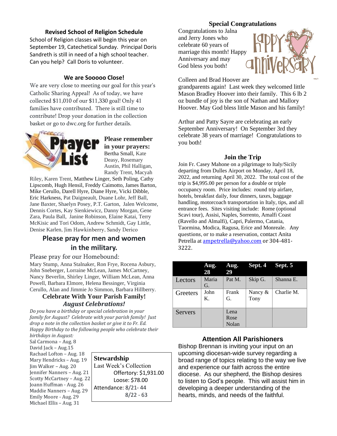#### **Revised School of Religion Schedule**

School of Religion classes will begin this year on September 19, Catechetical Sunday. Principal Doris Sandreth is still in need of a high school teacher. Can you help? Call Doris to volunteer.

#### **We are Sooooo Close!**

We are very close to meeting our goal for this year's Catholic Sharing Appeal! As of today, we have collected \$11,010 of our \$11,330 goal! Only 41 families have contributed. There is still time to contribute! Drop your donation in the collection basket or go to dwc.org for further details.



**Please remember in your prayers:** Bertha Small, Kate Deasy, Rosemary Austin, Phil Halligan, Randy Trent, Macyah

Riley, Karen Trent, Matthew Linger, Seth Poling, Cathy Lipscomb, Hugh Hensil, Freddy Caimotto, James Barton, Mike Cerullo, Darell Hyre, Diane Hyre, Vicki Dibble, Eric Harkness, Pat Daigneault, Duane Lohr, Jeff Ball, Jane Baxter, Shaelyn Posey, P.T. Garton, Jalen Welcome, Dennis Cortes, Kay Sienkiewicz, Danny Morgan, Gene Zara, Paula Ball, Janine Robinson, Elaine Katai, Terry McKisic and Tori Odom, Andrew Schmidt, Gay Little, Denise Karlen, Jim Hawkinberry, Sandy Derico

## **Please pray for men and women in the military.**

Please pray for our Homebound:

Mary Stump, Anna Stalnaker, Ron Frye, Rocena Asbury, John Sneberger, Lorraine McLean, James McCartney, Nancy Beverlin, Shirley Linger, William McLean, Anna Powell, Barbara Elmore, Helena Bessinger, Virginia Cerullo, Alan and Jimmie Jo Simmon, Barbara Hillberry.

### **Celebrate With Your Parish Family!** *August Celebrations!*

*Do you have a birthday or special celebration in your family for August? Celebrate with your parish family! Just drop a note in the collection basket or give it to Fr. Ed. Happy Birthday to the following people who celebrate their birthdays in August:*

Sal Carmona – Aug. 8 David Jack – Aug.15 Rachael Lofton – Aug. 18 Mary Hendricks – Aug. 19 Jim Walker – Aug. 20 Jennifer Nanners – Aug. 21 Scotty McCartney – Aug. 22 Joann Huffman - Aug. 26 Maddie Nanners – Aug. 29 Emily Moore - Aug. 29 Michael Ellis – Aug. 31

**Stewardship** Last Week's Collection Offertory: \$1,931.00 Loose: \$78.00 Attendance: 8/21- 44 8/22 - 63

#### **Special Congratulations**

Congratulations to Jalna and Jerry Jones who celebrate 60 years of marriage this month! Happy Anniversary and may God bless you both!



Colleen and Brad Hoover are

grandparents again! Last week they welcomed little Mason Bradley Hoover into their family. This 6 lb 2 oz bundle of joy is the son of Nathan and Mallory Hoover. May God bless little Mason and his family!

Arthur and Patty Sayre are celebrating an early September Anniversary! On September 3rd they celebrate 38 years of marriage! Congratulations to you both!

#### **Join the Trip**

Join Fr. Casey Mahone on a pilgrimage to Italy/Sicily departing from Dulles Airport on Monday, April 18, 2022, and returning April 30, 2022. The total cost of the trip is \$4,995.00 per person for a double or triple occupancy room. Price includes: round trip airfare, hotels, breakfast daily, four dinners, taxes, baggage handling, motorcoach transportation in Italy, tips, and all entrance fees. Sites visiting include: Rome (optional Scavi tour), Assisi, Naples, Sorrento, Amalfi Coast (Ravello and Almalfi), Capri, Palermo, Catania, Taormina, Modica, Ragusa, Erice and Monreale. Any questions, or to make a reservation, contact Anita Petrella at [ampetrella@yahoo.com](mailto:ampetrella@yahoo.com) or 304-481-3222.

|                | Aug.<br>28  | Aug.<br>29            | Sept. 4         | Sept. 5    |
|----------------|-------------|-----------------------|-----------------|------------|
| Lectors        | Maria<br>G. | Pat M.                | Skip G.         | Shanna E.  |
| Greeters       | John<br>Κ.  | Frank<br>G.           | Nancy &<br>Tony | Charlie M. |
| <b>Servers</b> |             | Lena<br>Rose<br>Nolan |                 |            |

#### **Attention All Parishioners**

Bishop Brennan is inviting your input on an upcoming diocesan-wide survey regarding a broad range of topics relating to the way we live and experience our faith across the entire diocese. As our shepherd, the Bishop desires to listen to God's people. This will assist him in developing a deeper understanding of the hearts, minds, and needs of the faithful.